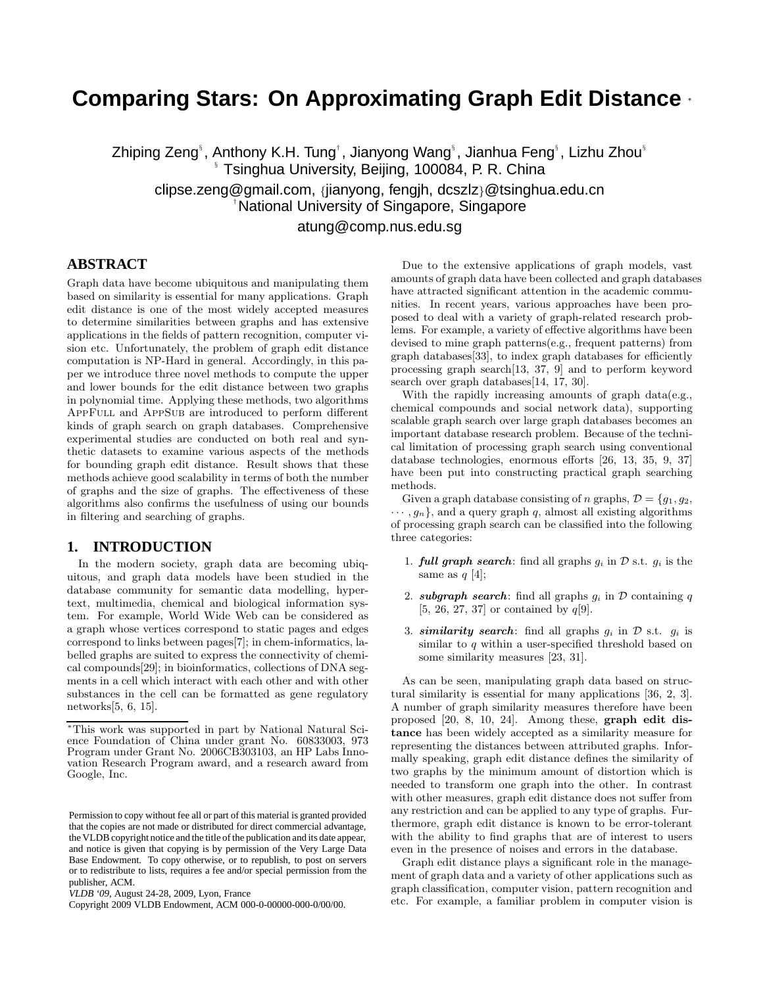# **Comparing Stars: On Approximating Graph Edit Distance** <sup>∗</sup>

Zhiping Zeng<sup>§</sup>, Anthony K.H. Tung<sup>†</sup>, Jianyong Wang<sup>§</sup>, Jianhua Feng<sup>§</sup>, Lizhu Zhou<sup>§</sup> § Tsinghua University, Beijing, 100084, P. R. China clipse.zeng@gmail.com, {jianyong, fengjh, dcszlz}@tsinghua.edu.cn †National University of Singapore, Singapore

atung@comp.nus.edu.sg

# **ABSTRACT**

Graph data have become ubiquitous and manipulating them based on similarity is essential for many applications. Graph edit distance is one of the most widely accepted measures to determine similarities between graphs and has extensive applications in the fields of pattern recognition, computer vision etc. Unfortunately, the problem of graph edit distance computation is NP-Hard in general. Accordingly, in this paper we introduce three novel methods to compute the upper and lower bounds for the edit distance between two graphs in polynomial time. Applying these methods, two algorithms AppFull and AppSub are introduced to perform different kinds of graph search on graph databases. Comprehensive experimental studies are conducted on both real and synthetic datasets to examine various aspects of the methods for bounding graph edit distance. Result shows that these methods achieve good scalability in terms of both the number of graphs and the size of graphs. The effectiveness of these algorithms also confirms the usefulness of using our bounds in filtering and searching of graphs.

# **1. INTRODUCTION**

In the modern society, graph data are becoming ubiquitous, and graph data models have been studied in the database community for semantic data modelling, hypertext, multimedia, chemical and biological information system. For example, World Wide Web can be considered as a graph whose vertices correspond to static pages and edges correspond to links between pages[7]; in chem-informatics, labelled graphs are suited to express the connectivity of chemical compounds[29]; in bioinformatics, collections of DNA segments in a cell which interact with each other and with other substances in the cell can be formatted as gene regulatory networks[5, 6, 15].

*VLDB '09,* August 24-28, 2009, Lyon, France

Copyright 2009 VLDB Endowment, ACM 000-0-00000-000-0/00/00.

Due to the extensive applications of graph models, vast amounts of graph data have been collected and graph databases have attracted significant attention in the academic communities. In recent years, various approaches have been proposed to deal with a variety of graph-related research problems. For example, a variety of effective algorithms have been devised to mine graph patterns(e.g., frequent patterns) from graph databases[33], to index graph databases for efficiently processing graph search[13, 37, 9] and to perform keyword search over graph databases[14, 17, 30].

With the rapidly increasing amounts of graph data(e.g., chemical compounds and social network data), supporting scalable graph search over large graph databases becomes an important database research problem. Because of the technical limitation of processing graph search using conventional database technologies, enormous efforts [26, 13, 35, 9, 37] have been put into constructing practical graph searching methods.

Given a graph database consisting of n graphs,  $\mathcal{D} = \{g_1, g_2,$  $\cdots$ ,  $g_n$ , and a query graph q, almost all existing algorithms of processing graph search can be classified into the following three categories:

- 1. full graph search: find all graphs  $q_i$  in  $\mathcal D$  s.t.  $q_i$  is the same as  $q$  [4];
- 2. subgraph search: find all graphs  $g_i$  in  $\mathcal D$  containing q [5, 26, 27, 37] or contained by  $q[9]$ .
- 3. similarity search: find all graphs  $q_i$  in  $\mathcal D$  s.t.  $q_i$  is similar to q within a user-specified threshold based on some similarity measures [23, 31].

As can be seen, manipulating graph data based on structural similarity is essential for many applications [36, 2, 3]. A number of graph similarity measures therefore have been proposed [20, 8, 10, 24]. Among these, graph edit distance has been widely accepted as a similarity measure for representing the distances between attributed graphs. Informally speaking, graph edit distance defines the similarity of two graphs by the minimum amount of distortion which is needed to transform one graph into the other. In contrast with other measures, graph edit distance does not suffer from any restriction and can be applied to any type of graphs. Furthermore, graph edit distance is known to be error-tolerant with the ability to find graphs that are of interest to users even in the presence of noises and errors in the database.

Graph edit distance plays a significant role in the management of graph data and a variety of other applications such as graph classification, computer vision, pattern recognition and etc. For example, a familiar problem in computer vision is

<sup>∗</sup>This work was supported in part by National Natural Science Foundation of China under grant No. 60833003, 973 Program under Grant No. 2006CB303103, an HP Labs Innovation Research Program award, and a research award from Google, Inc.

Permission to copy without fee all or part of this material is granted provided that the copies are not made or distributed for direct commercial advantage, the VLDB copyright notice and the title of the publication and its date appear, and notice is given that copying is by permission of the Very Large Data Base Endowment. To copy otherwise, or to republish, to post on servers or to redistribute to lists, requires a fee and/or special permission from the publisher, ACM.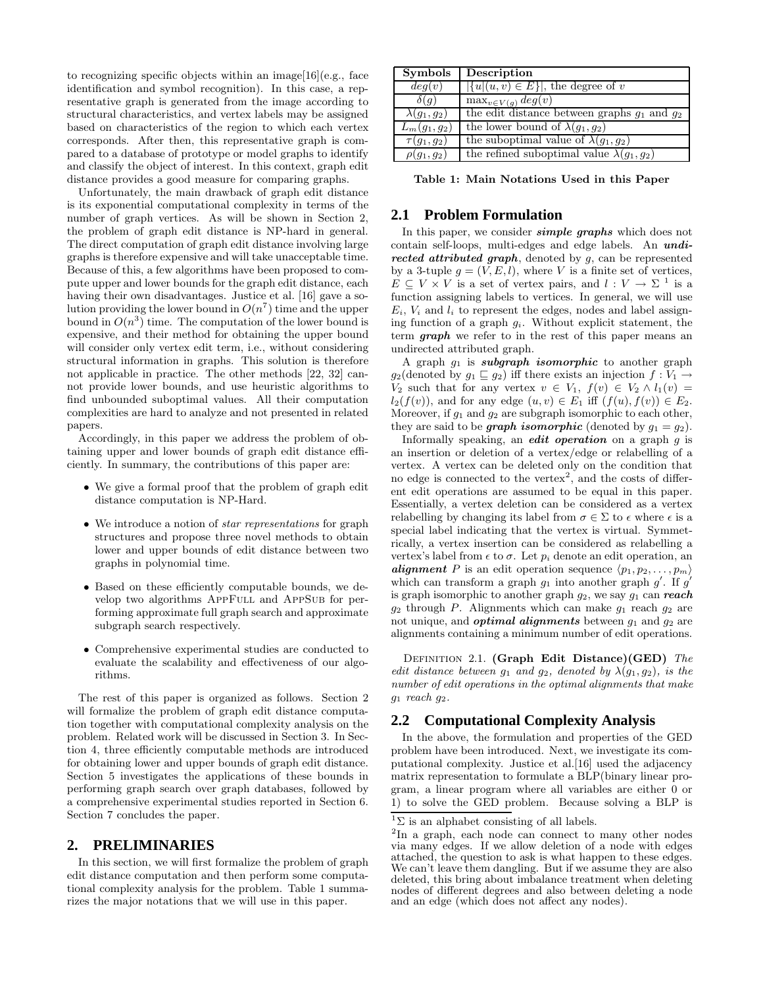to recognizing specific objects within an image $[16]$ (e.g., face identification and symbol recognition). In this case, a representative graph is generated from the image according to structural characteristics, and vertex labels may be assigned based on characteristics of the region to which each vertex corresponds. After then, this representative graph is compared to a database of prototype or model graphs to identify and classify the object of interest. In this context, graph edit distance provides a good measure for comparing graphs.

Unfortunately, the main drawback of graph edit distance is its exponential computational complexity in terms of the number of graph vertices. As will be shown in Section 2, the problem of graph edit distance is NP-hard in general. The direct computation of graph edit distance involving large graphs is therefore expensive and will take unacceptable time. Because of this, a few algorithms have been proposed to compute upper and lower bounds for the graph edit distance, each having their own disadvantages. Justice et al. [16] gave a solution providing the lower bound in  $O(n^7)$  time and the upper bound in  $O(n^3)$  time. The computation of the lower bound is expensive, and their method for obtaining the upper bound will consider only vertex edit term, i.e., without considering structural information in graphs. This solution is therefore not applicable in practice. The other methods [22, 32] cannot provide lower bounds, and use heuristic algorithms to find unbounded suboptimal values. All their computation complexities are hard to analyze and not presented in related papers.

Accordingly, in this paper we address the problem of obtaining upper and lower bounds of graph edit distance efficiently. In summary, the contributions of this paper are:

- We give a formal proof that the problem of graph edit distance computation is NP-Hard.
- We introduce a notion of *star representations* for graph structures and propose three novel methods to obtain lower and upper bounds of edit distance between two graphs in polynomial time.
- Based on these efficiently computable bounds, we develop two algorithms AppFull and AppSub for performing approximate full graph search and approximate subgraph search respectively.
- Comprehensive experimental studies are conducted to evaluate the scalability and effectiveness of our algorithms.

The rest of this paper is organized as follows. Section 2 will formalize the problem of graph edit distance computation together with computational complexity analysis on the problem. Related work will be discussed in Section 3. In Section 4, three efficiently computable methods are introduced for obtaining lower and upper bounds of graph edit distance. Section 5 investigates the applications of these bounds in performing graph search over graph databases, followed by a comprehensive experimental studies reported in Section 6. Section 7 concludes the paper.

# **2. PRELIMINARIES**

In this section, we will first formalize the problem of graph edit distance computation and then perform some computational complexity analysis for the problem. Table 1 summarizes the major notations that we will use in this paper.

| <b>Symbols</b>     | Description                                      |
|--------------------|--------------------------------------------------|
| deg(v)             | $ \{u (u,v) \in E\} $ , the degree of v          |
| $\delta(q)$        | $\max_{v \in V(q)} deg(v)$                       |
| $\lambda(q_1,q_2)$ | the edit distance between graphs $g_1$ and $g_2$ |
| $L_m(g_1, g_2)$    | the lower bound of $\lambda(q_1, q_2)$           |
| $\tau(g_1,g_2)$    | the suboptimal value of $\lambda(q_1, q_2)$      |
| $\rho(g_1, g_2)$   | the refined suboptimal value $\lambda(g_1, g_2)$ |

Table 1: Main Notations Used in this Paper

# **2.1 Problem Formulation**

In this paper, we consider simple graphs which does not contain self-loops, multi-edges and edge labels. An *undi*rected attributed graph, denoted by  $g$ , can be represented by a 3-tuple  $g = (V, E, l)$ , where V is a finite set of vertices,  $E \subseteq V \times V$  is a set of vertex pairs, and  $l: V \to \Sigma^{-1}$  is a function assigning labels to vertices. In general, we will use  $E_i$ ,  $V_i$  and  $l_i$  to represent the edges, nodes and label assigning function of a graph  $g_i$ . Without explicit statement, the term graph we refer to in the rest of this paper means an undirected attributed graph.

A graph  $g_1$  is subgraph isomorphic to another graph  $g_2$ (denoted by  $g_1 \subseteq g_2$ ) iff there exists an injection  $f : V_1 \to V_2$  $V_2$  such that for any vertex  $v \in V_1$ ,  $f(v) \in V_2 \wedge l_1(v) =$  $l_2(f(v))$ , and for any edge  $(u, v) \in E_1$  iff  $(f(u), f(v)) \in E_2$ . Moreover, if  $q_1$  and  $q_2$  are subgraph isomorphic to each other, they are said to be *graph isomorphic* (denoted by  $q_1 = q_2$ ).

Informally speaking, an *edit operation* on a graph  $q$  is an insertion or deletion of a vertex/edge or relabelling of a vertex. A vertex can be deleted only on the condition that no edge is connected to the vertex<sup>2</sup>, and the costs of different edit operations are assumed to be equal in this paper. Essentially, a vertex deletion can be considered as a vertex relabelling by changing its label from  $\sigma\in\Sigma$  to  $\epsilon$  where  $\epsilon$  is a special label indicating that the vertex is virtual. Symmetrically, a vertex insertion can be considered as relabelling a vertex's label from  $\epsilon$  to  $\sigma$ . Let  $p_i$  denote an edit operation, an *alignment* P is an edit operation sequence  $\langle p_1, p_2, \ldots, p_m \rangle$ which can transform a graph  $g_1$  into another graph  $g'$ . If  $g'$ is graph isomorphic to another graph  $g_2$ , we say  $g_1$  can reach  $q_2$  through P. Alignments which can make  $q_1$  reach  $q_2$  are not unique, and *optimal alignments* between  $q_1$  and  $q_2$  are alignments containing a minimum number of edit operations.

DEFINITION 2.1. (Graph Edit Distance)(GED) The edit distance between  $g_1$  and  $g_2$ , denoted by  $\lambda(g_1, g_2)$ , is the number of edit operations in the optimal alignments that make  $g_1$  reach  $g_2$ .

# **2.2 Computational Complexity Analysis**

In the above, the formulation and properties of the GED problem have been introduced. Next, we investigate its computational complexity. Justice et al.[16] used the adjacency matrix representation to formulate a BLP(binary linear program, a linear program where all variables are either 0 or 1) to solve the GED problem. Because solving a BLP is

 $\overline{1\Sigma}$  is an alphabet consisting of all labels.

<sup>&</sup>lt;sup>2</sup>In a graph, each node can connect to many other nodes via many edges. If we allow deletion of a node with edges attached, the question to ask is what happen to these edges. We can't leave them dangling. But if we assume they are also deleted, this bring about imbalance treatment when deleting nodes of different degrees and also between deleting a node and an edge (which does not affect any nodes).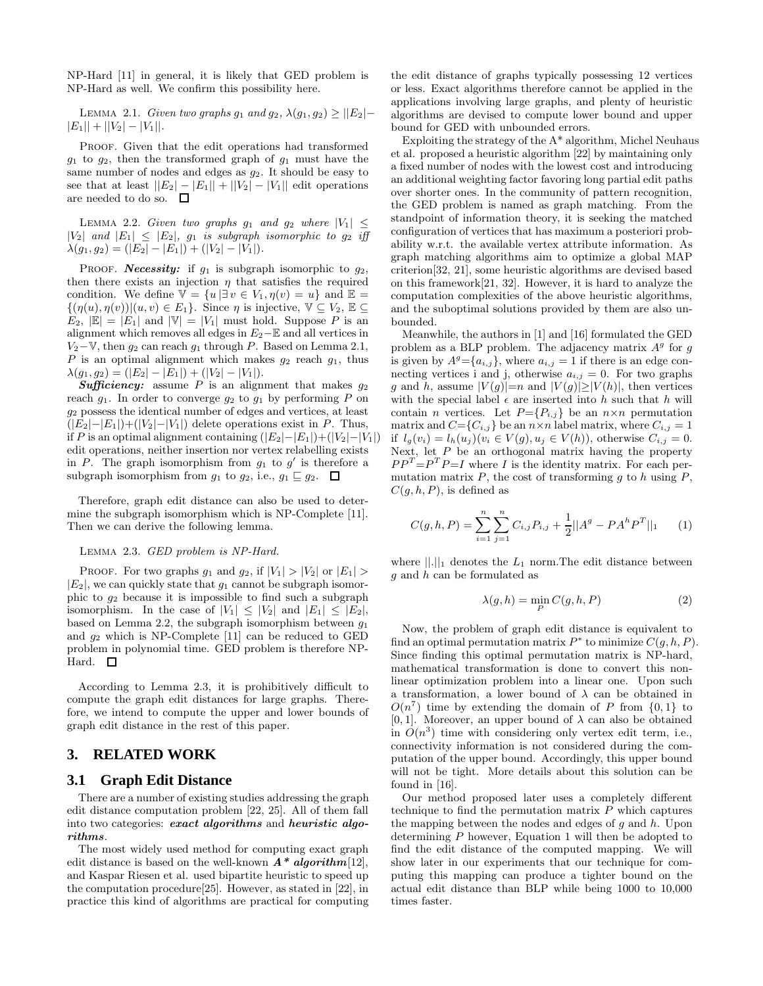NP-Hard [11] in general, it is likely that GED problem is NP-Hard as well. We confirm this possibility here.

LEMMA 2.1. Given two graphs  $g_1$  and  $g_2$ ,  $\lambda(g_1, g_2) \geq ||E_2| |E_1|| + ||V_2| - |V_1||.$ 

PROOF. Given that the edit operations had transformed  $g_1$  to  $g_2$ , then the transformed graph of  $g_1$  must have the same number of nodes and edges as  $g_2$ . It should be easy to see that at least  $||E_2| - |E_1|| + ||V_2| - |V_1||$  edit operations are needed to do so.  $\Box$ 

LEMMA 2.2. Given two graphs  $g_1$  and  $g_2$  where  $|V_1| \leq$  $|V_2|$  and  $|E_1| \leq |E_2|$ ,  $g_1$  is subgraph isomorphic to  $g_2$  iff  $\lambda(g_1,g_2) = (|E_2| - |E_1|) + (|V_2| - |V_1|).$ 

PROOF. Necessity: if  $g_1$  is subgraph isomorphic to  $g_2$ , then there exists an injection  $\eta$  that satisfies the required condition. We define  $\mathbb{V} = \{u \mid \exists v \in V_1, \eta(v) = u\}$  and  $\mathbb{E} =$  $\{(\eta(u), \eta(v)) | (u, v) \in E_1\}.$  Since  $\eta$  is injective,  $\mathbb{V} \subseteq V_2, \mathbb{E} \subseteq$  $E_2$ ,  $|\mathbb{E}| = |E_1|$  and  $|\mathbb{V}| = |V_1|$  must hold. Suppose P is an alignment which removes all edges in  $E_2-\mathbb{E}$  and all vertices in  $V_2$ –V, then  $g_2$  can reach  $g_1$  through P. Based on Lemma 2.1, P is an optimal alignment which makes  $g_2$  reach  $g_1$ , thus  $\lambda(g_1, g_2) = (|E_2| - |E_1|) + (|V_2| - |V_1|).$ 

**Sufficiency:** assume P is an alignment that makes  $g_2$ reach  $g_1$ . In order to converge  $g_2$  to  $g_1$  by performing P on g<sup>2</sup> possess the identical number of edges and vertices, at least  $(|E_2|-|E_1|)+(|V_2|-|V_1|)$  delete operations exist in P. Thus, if P is an optimal alignment containing  $(|E_2|-|E_1|)+(|V_2|-|V_1|)$ edit operations, neither insertion nor vertex relabelling exists in P. The graph isomorphism from  $g_1$  to  $g'$  is therefore a subgraph isomorphism from  $q_1$  to  $q_2$ , i.e.,  $q_1 \sqsubset q_2$ .  $\square$ 

Therefore, graph edit distance can also be used to determine the subgraph isomorphism which is NP-Complete [11]. Then we can derive the following lemma.

#### Lemma 2.3. GED problem is NP-Hard.

PROOF. For two graphs  $g_1$  and  $g_2$ , if  $|V_1| > |V_2|$  or  $|E_1| >$  $|E_2|$ , we can quickly state that  $g_1$  cannot be subgraph isomorphic to  $q_2$  because it is impossible to find such a subgraph isomorphism. In the case of  $|V_1| \leq |V_2|$  and  $|E_1| \leq |E_2|$ , based on Lemma 2.2, the subgraph isomorphism between  $g_1$ and  $g_2$  which is NP-Complete [11] can be reduced to GED problem in polynomial time. GED problem is therefore NP-Hard.  $\square$ 

According to Lemma 2.3, it is prohibitively difficult to compute the graph edit distances for large graphs. Therefore, we intend to compute the upper and lower bounds of graph edit distance in the rest of this paper.

# **3. RELATED WORK**

### **3.1 Graph Edit Distance**

There are a number of existing studies addressing the graph edit distance computation problem [22, 25]. All of them fall into two categories: exact algorithms and heuristic algorithms.

The most widely used method for computing exact graph edit distance is based on the well-known  $A^*$  algorithm [12], and Kaspar Riesen et al. used bipartite heuristic to speed up the computation procedure[25]. However, as stated in [22], in practice this kind of algorithms are practical for computing

the edit distance of graphs typically possessing 12 vertices or less. Exact algorithms therefore cannot be applied in the applications involving large graphs, and plenty of heuristic algorithms are devised to compute lower bound and upper bound for GED with unbounded errors.

Exploiting the strategy of the A\* algorithm, Michel Neuhaus et al. proposed a heuristic algorithm [22] by maintaining only a fixed number of nodes with the lowest cost and introducing an additional weighting factor favoring long partial edit paths over shorter ones. In the community of pattern recognition, the GED problem is named as graph matching. From the standpoint of information theory, it is seeking the matched configuration of vertices that has maximum a posteriori probability w.r.t. the available vertex attribute information. As graph matching algorithms aim to optimize a global MAP criterion[32, 21], some heuristic algorithms are devised based on this framework[21, 32]. However, it is hard to analyze the computation complexities of the above heuristic algorithms, and the suboptimal solutions provided by them are also unbounded.

Meanwhile, the authors in [1] and [16] formulated the GED problem as a BLP problem. The adjacency matrix  $A<sup>g</sup>$  for g is given by  $A<sup>g</sup> = \{a_{i,j}\}\,$ , where  $a_{i,j} = 1$  if there is an edge connecting vertices i and j, otherwise  $a_{i,j} = 0$ . For two graphs g and h, assume  $|V(g)|=n$  and  $|V(g)|\geq |V(h)|$ , then vertices with the special label  $\epsilon$  are inserted into h such that h will contain *n* vertices. Let  $P = \{P_{i,j}\}\$ be an  $n \times n$  permutation matrix and  $C = \{C_{i,j}\}\$ be an  $n \times n$  label matrix, where  $C_{i,j} = 1$ if  $l_g(v_i) = l_h(u_i)(v_i \in V(g), u_j \in V(h)),$  otherwise  $C_{i,j} = 0.$ Next, let  $P$  be an orthogonal matrix having the property  $PP<sup>T</sup> = P<sup>T</sup> P = I$  where I is the identity matrix. For each permutation matrix  $P$ , the cost of transforming  $g$  to  $h$  using  $P$ ,  $C(g, h, P)$ , is defined as

$$
C(g, h, P) = \sum_{i=1}^{n} \sum_{j=1}^{n} C_{i,j} P_{i,j} + \frac{1}{2} ||A^g - P A^h P^T||_1 \qquad (1)
$$

where  $\|\cdot\|_1$  denotes the  $L_1$  norm. The edit distance between  $g$  and  $h$  can be formulated as

$$
\lambda(g, h) = \min_{P} C(g, h, P) \tag{2}
$$

Now, the problem of graph edit distance is equivalent to find an optimal permutation matrix  $P^*$  to minimize  $C(g, h, P)$ . Since finding this optimal permutation matrix is NP-hard, mathematical transformation is done to convert this nonlinear optimization problem into a linear one. Upon such a transformation, a lower bound of  $\lambda$  can be obtained in  $O(n^7)$  time by extending the domain of P from  $\{0,1\}$  to [0, 1]. Moreover, an upper bound of  $\lambda$  can also be obtained in  $O(n^3)$  time with considering only vertex edit term, i.e., connectivity information is not considered during the computation of the upper bound. Accordingly, this upper bound will not be tight. More details about this solution can be found in [16].

Our method proposed later uses a completely different technique to find the permutation matrix  $P$  which captures the mapping between the nodes and edges of  $q$  and  $h$ . Upon determining P however, Equation 1 will then be adopted to find the edit distance of the computed mapping. We will show later in our experiments that our technique for computing this mapping can produce a tighter bound on the actual edit distance than BLP while being 1000 to 10,000 times faster.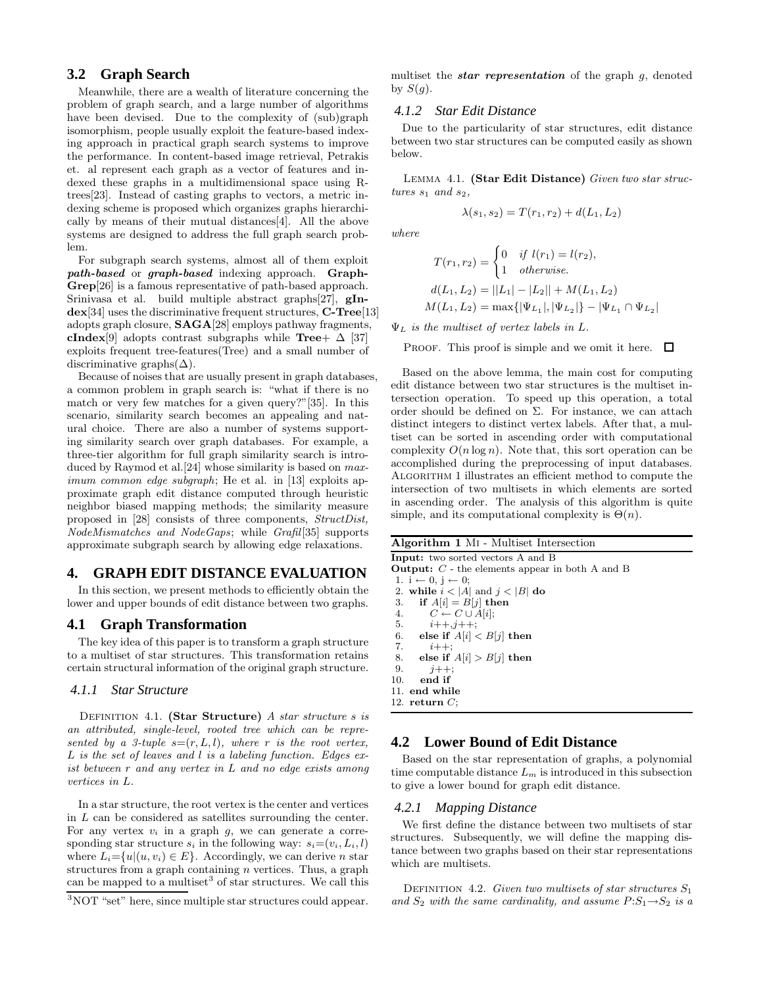# **3.2 Graph Search**

Meanwhile, there are a wealth of literature concerning the problem of graph search, and a large number of algorithms have been devised. Due to the complexity of (sub)graph isomorphism, people usually exploit the feature-based indexing approach in practical graph search systems to improve the performance. In content-based image retrieval, Petrakis et. al represent each graph as a vector of features and indexed these graphs in a multidimensional space using Rtrees[23]. Instead of casting graphs to vectors, a metric indexing scheme is proposed which organizes graphs hierarchically by means of their mutual distances[4]. All the above systems are designed to address the full graph search problem.

For subgraph search systems, almost all of them exploit path-based or graph-based indexing approach. Graph-Grep[26] is a famous representative of path-based approach. Srinivasa et al. build multiple abstract graphs[27], gIndex[34] uses the discriminative frequent structures, C-Tree[13] adopts graph closure, SAGA[28] employs pathway fragments, cIndex[9] adopts contrast subgraphs while Tree+  $\Delta$  [37] exploits frequent tree-features(Tree) and a small number of discriminative graphs $(\Delta)$ .

Because of noises that are usually present in graph databases, a common problem in graph search is: "what if there is no match or very few matches for a given query?"[35]. In this scenario, similarity search becomes an appealing and natural choice. There are also a number of systems supporting similarity search over graph databases. For example, a three-tier algorithm for full graph similarity search is introduced by Raymod et al.[24] whose similarity is based on  $max$ imum common edge subgraph; He et al. in [13] exploits approximate graph edit distance computed through heuristic neighbor biased mapping methods; the similarity measure proposed in [28] consists of three components, StructDist, NodeMismatches and NodeGaps; while Grafil[35] supports approximate subgraph search by allowing edge relaxations.

# **4. GRAPH EDIT DISTANCE EVALUATION**

In this section, we present methods to efficiently obtain the lower and upper bounds of edit distance between two graphs.

## **4.1 Graph Transformation**

The key idea of this paper is to transform a graph structure to a multiset of star structures. This transformation retains certain structural information of the original graph structure.

### *4.1.1 Star Structure*

DEFINITION 4.1. (Star Structure) A star structure s is an attributed, single-level, rooted tree which can be represented by a 3-tuple  $s=(r, L, l)$ , where r is the root vertex,  $L$  is the set of leaves and l is a labeling function. Edges exist between r and any vertex in L and no edge exists among vertices in L.

In a star structure, the root vertex is the center and vertices in L can be considered as satellites surrounding the center. For any vertex  $v_i$  in a graph  $g$ , we can generate a corresponding star structure  $s_i$  in the following way:  $s_i=(v_i, L_i, l)$ where  $L_i = \{u | (u, v_i) \in E\}$ . Accordingly, we can derive *n* star structures from a graph containing  $n$  vertices. Thus, a graph can be mapped to a multiset<sup>3</sup> of star structures. We call this

multiset the *star representation* of the graph  $q$ , denoted by  $S(q)$ .

### *4.1.2 Star Edit Distance*

Due to the particularity of star structures, edit distance between two star structures can be computed easily as shown below.

LEMMA 4.1. (Star Edit Distance) Given two star structures  $s_1$  and  $s_2$ ,

$$
\lambda(s_1, s_2) = T(r_1, r_2) + d(L_1, L_2)
$$

where

$$
T(r_1, r_2) = \begin{cases} 0 & \text{if } l(r_1) = l(r_2), \\ 1 & \text{otherwise.} \end{cases}
$$

$$
d(L_1, L_2) = ||L_1| - |L_2|| + M(L_1, L_2)
$$

$$
M(L_1, L_2) = \max\{|\Psi_{L_1}|, |\Psi_{L_2}|\} - |\Psi_{L_1} \cap \Psi_{L_2}|
$$

 $\Psi_L$  is the multiset of vertex labels in L.

PROOF. This proof is simple and we omit it here.  $\Box$ 

Based on the above lemma, the main cost for computing edit distance between two star structures is the multiset intersection operation. To speed up this operation, a total order should be defined on  $\Sigma$ . For instance, we can attach distinct integers to distinct vertex labels. After that, a multiset can be sorted in ascending order with computational complexity  $O(n \log n)$ . Note that, this sort operation can be accomplished during the preprocessing of input databases. Algorithm 1 illustrates an efficient method to compute the intersection of two multisets in which elements are sorted in ascending order. The analysis of this algorithm is quite simple, and its computational complexity is  $\Theta(n)$ .

| <b>Algorithm 1</b> M <sub>I</sub> - Multiset Intersection |  |  |  |  |
|-----------------------------------------------------------|--|--|--|--|
| <b>Input:</b> two sorted vectors A and B                  |  |  |  |  |
| <b>Output:</b> $C$ - the elements appear in both A and B  |  |  |  |  |
| 1. $i \leftarrow 0$ , $i \leftarrow 0$ ;                  |  |  |  |  |
| 2. while $i <  A $ and $j <  B $ do                       |  |  |  |  |
| 3. if $A[i] = B[j]$ then                                  |  |  |  |  |
| 4. $C \leftarrow C \cup A[i];$                            |  |  |  |  |
| 5. $i++, j++;$                                            |  |  |  |  |
| 6. else if $A[i] < B[j]$ then                             |  |  |  |  |
| 7.<br>$i++$                                               |  |  |  |  |
| 8. else if $A[i] > B[j]$ then                             |  |  |  |  |
| 9.<br>$i+1$                                               |  |  |  |  |
| end if<br>10.                                             |  |  |  |  |
| 11. end while                                             |  |  |  |  |
| 12. return $C$ ;                                          |  |  |  |  |

### **4.2 Lower Bound of Edit Distance**

Based on the star representation of graphs, a polynomial time computable distance  $L_m$  is introduced in this subsection to give a lower bound for graph edit distance.

### *4.2.1 Mapping Distance*

We first define the distance between two multisets of star structures. Subsequently, we will define the mapping distance between two graphs based on their star representations which are multisets.

DEFINITION 4.2. Given two multisets of star structures  $S_1$ and  $S_2$  with the same cardinality, and assume  $P: S_1 \rightarrow S_2$  is a

<sup>3</sup>NOT "set" here, since multiple star structures could appear.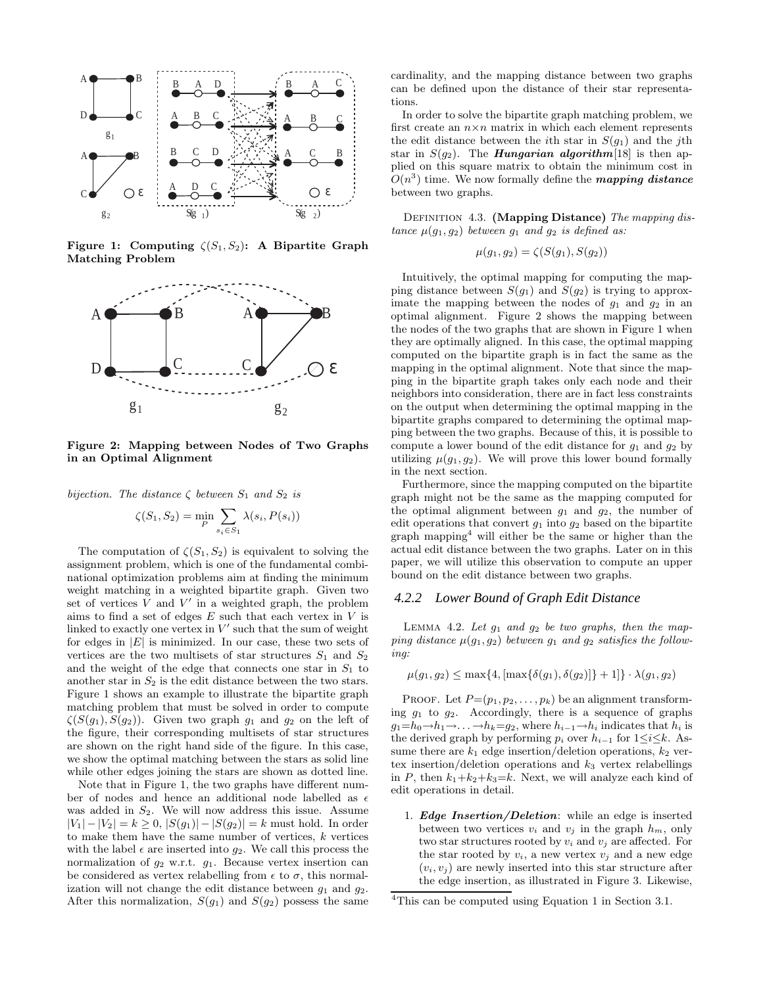

Figure 1: Computing  $\zeta(S_1, S_2)$ : A Bipartite Graph Matching Problem



Figure 2: Mapping between Nodes of Two Graphs in an Optimal Alignment

bijection. The distance  $\zeta$  between  $S_1$  and  $S_2$  is

$$
\zeta(S_1, S_2) = \min_P \sum_{s_i \in S_1} \lambda(s_i, P(s_i))
$$

The computation of  $\zeta(S_1, S_2)$  is equivalent to solving the assignment problem, which is one of the fundamental combinational optimization problems aim at finding the minimum weight matching in a weighted bipartite graph. Given two set of vertices  $V$  and  $V'$  in a weighted graph, the problem aims to find a set of edges  $E$  such that each vertex in  $V$  is linked to exactly one vertex in  $V'$  such that the sum of weight for edges in  $|E|$  is minimized. In our case, these two sets of vertices are the two multisets of star structures  $S_1$  and  $S_2$ and the weight of the edge that connects one star in  $S_1$  to another star in  $S_2$  is the edit distance between the two stars. Figure 1 shows an example to illustrate the bipartite graph matching problem that must be solved in order to compute  $\zeta(S(g_1), S(g_2))$ . Given two graph  $g_1$  and  $g_2$  on the left of the figure, their corresponding multisets of star structures are shown on the right hand side of the figure. In this case, we show the optimal matching between the stars as solid line while other edges joining the stars are shown as dotted line.

Note that in Figure 1, the two graphs have different number of nodes and hence an additional node labelled as  $\epsilon$ was added in  $S_2$ . We will now address this issue. Assume  $|V_1| - |V_2| = k \geq 0$ ,  $|S(g_1)| - |S(g_2)| = k$  must hold. In order to make them have the same number of vertices,  $k$  vertices with the label  $\epsilon$  are inserted into  $g_2$ . We call this process the normalization of  $g_2$  w.r.t.  $g_1$ . Because vertex insertion can be considered as vertex relabelling from  $\epsilon$  to  $\sigma$ , this normalization will not change the edit distance between  $g_1$  and  $g_2$ . After this normalization,  $S(g_1)$  and  $S(g_2)$  possess the same cardinality, and the mapping distance between two graphs can be defined upon the distance of their star representations.

In order to solve the bipartite graph matching problem, we first create an  $n \times n$  matrix in which each element represents the edit distance between the *i*th star in  $S(q_1)$  and the *j*th star in  $S(q_2)$ . The **Hungarian algorithm** [18] is then applied on this square matrix to obtain the minimum cost in  $O(n^3)$  time. We now formally define the *mapping distance* between two graphs.

DEFINITION 4.3. (Mapping Distance) The mapping distance  $\mu(g_1, g_2)$  between  $g_1$  and  $g_2$  is defined as:

$$
\mu(g_1, g_2) = \zeta(S(g_1), S(g_2))
$$

Intuitively, the optimal mapping for computing the mapping distance between  $S(g_1)$  and  $S(g_2)$  is trying to approximate the mapping between the nodes of  $g_1$  and  $g_2$  in an optimal alignment. Figure 2 shows the mapping between the nodes of the two graphs that are shown in Figure 1 when they are optimally aligned. In this case, the optimal mapping computed on the bipartite graph is in fact the same as the mapping in the optimal alignment. Note that since the mapping in the bipartite graph takes only each node and their neighbors into consideration, there are in fact less constraints on the output when determining the optimal mapping in the bipartite graphs compared to determining the optimal mapping between the two graphs. Because of this, it is possible to compute a lower bound of the edit distance for  $g_1$  and  $g_2$  by utilizing  $\mu(g_1, g_2)$ . We will prove this lower bound formally in the next section.

Furthermore, since the mapping computed on the bipartite graph might not be the same as the mapping computed for the optimal alignment between  $g_1$  and  $g_2$ , the number of edit operations that convert  $g_1$  into  $g_2$  based on the bipartite graph mapping<sup>4</sup> will either be the same or higher than the actual edit distance between the two graphs. Later on in this paper, we will utilize this observation to compute an upper bound on the edit distance between two graphs.

### *4.2.2 Lower Bound of Graph Edit Distance*

LEMMA 4.2. Let  $g_1$  and  $g_2$  be two graphs, then the mapping distance  $\mu(g_1, g_2)$  between  $g_1$  and  $g_2$  satisfies the following:

$$
\mu(g_1, g_2) \le \max\{4, [\max\{\delta(g_1), \delta(g_2)]\} + 1]\} \cdot \lambda(g_1, g_2)
$$

PROOF. Let  $P=(p_1, p_2, \ldots, p_k)$  be an alignment transforming  $g_1$  to  $g_2$ . Accordingly, there is a sequence of graphs  $g_1=h_0\rightarrow h_1\rightarrow\ldots\rightarrow h_k=g_2$ , where  $h_{i-1}\rightarrow h_i$  indicates that  $h_i$  is the derived graph by performing  $p_i$  over  $h_{i-1}$  for  $1 \leq i \leq k$ . Assume there are  $k_1$  edge insertion/deletion operations,  $k_2$  vertex insertion/deletion operations and  $k_3$  vertex relabellings in P, then  $k_1+k_2+k_3=k$ . Next, we will analyze each kind of edit operations in detail.

1. Edge Insertion/Deletion: while an edge is inserted between two vertices  $v_i$  and  $v_j$  in the graph  $h_m$ , only two star structures rooted by  $v_i$  and  $v_j$  are affected. For the star rooted by  $v_i$ , a new vertex  $v_j$  and a new edge  $(v_i, v_j)$  are newly inserted into this star structure after the edge insertion, as illustrated in Figure 3. Likewise,

<sup>4</sup>This can be computed using Equation 1 in Section 3.1.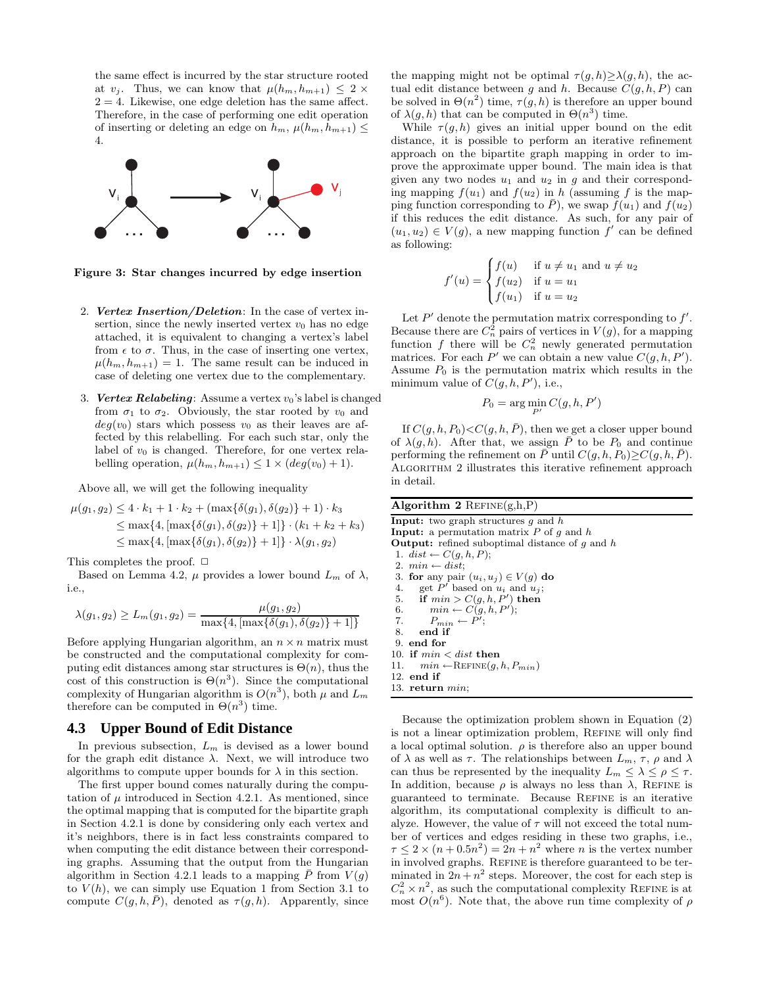the same effect is incurred by the star structure rooted at  $v_j$ . Thus, we can know that  $\mu(h_m, h_{m+1}) \leq 2 \times$  $2 = 4$ . Likewise, one edge deletion has the same affect. Therefore, in the case of performing one edit operation of inserting or deleting an edge on  $h_m$ ,  $\mu(h_m, h_{m+1}) \leq$ 4.



Figure 3: Star changes incurred by edge insertion

- 2. Vertex Insertion/Deletion: In the case of vertex insertion, since the newly inserted vertex  $v_0$  has no edge attached, it is equivalent to changing a vertex's label from  $\epsilon$  to  $\sigma$ . Thus, in the case of inserting one vertex,  $\mu(h_m, h_{m+1}) = 1$ . The same result can be induced in case of deleting one vertex due to the complementary.
- 3. Vertex Relabeling: Assume a vertex  $v_0$ 's label is changed from  $\sigma_1$  to  $\sigma_2$ . Obviously, the star rooted by  $v_0$  and  $deg(v_0)$  stars which possess  $v_0$  as their leaves are affected by this relabelling. For each such star, only the label of  $v_0$  is changed. Therefore, for one vertex relabelling operation,  $\mu(h_m, h_{m+1}) \leq 1 \times (deg(v_0) + 1)$ .

Above all, we will get the following inequality

$$
\mu(g_1, g_2) \le 4 \cdot k_1 + 1 \cdot k_2 + (\max{\delta(g_1), \delta(g_2)} + 1) \cdot k_3
$$
  
\n
$$
\le \max\{4, [\max{\delta(g_1), \delta(g_2)} + 1]\} \cdot (k_1 + k_2 + k_3)
$$
  
\n
$$
\le \max\{4, [\max{\delta(g_1), \delta(g_2)} + 1]\} \cdot \lambda(g_1, g_2)
$$

This completes the proof.  $\Box$ 

Based on Lemma 4.2,  $\mu$  provides a lower bound  $L_m$  of  $\lambda$ , i.e.,

$$
\lambda(g_1, g_2) \ge L_m(g_1, g_2) = \frac{\mu(g_1, g_2)}{\max\{4, [\max\{\delta(g_1), \delta(g_2)\} + 1]\}}
$$

Before applying Hungarian algorithm, an  $n \times n$  matrix must be constructed and the computational complexity for computing edit distances among star structures is  $\Theta(n)$ , thus the cost of this construction is  $\Theta(n^3)$ . Since the computational complexity of Hungarian algorithm is  $O(n^3)$ , both  $\mu$  and  $L_m$ therefore can be computed in  $\Theta(n^3)$  time.

### **4.3 Upper Bound of Edit Distance**

In previous subsection,  $L_m$  is devised as a lower bound for the graph edit distance  $\lambda$ . Next, we will introduce two algorithms to compute upper bounds for  $\lambda$  in this section.

The first upper bound comes naturally during the computation of  $\mu$  introduced in Section 4.2.1. As mentioned, since the optimal mapping that is computed for the bipartite graph in Section 4.2.1 is done by considering only each vertex and it's neighbors, there is in fact less constraints compared to when computing the edit distance between their corresponding graphs. Assuming that the output from the Hungarian algorithm in Section 4.2.1 leads to a mapping  $\bar{P}$  from  $V(g)$ to  $V(h)$ , we can simply use Equation 1 from Section 3.1 to compute  $C(g, h, \overline{P})$ , denoted as  $\tau(g, h)$ . Apparently, since the mapping might not be optimal  $\tau(g, h) \geq \lambda(g, h)$ , the actual edit distance between g and h. Because  $C(g, h, P)$  can be solved in  $\Theta(n^2)$  time,  $\tau(g,h)$  is therefore an upper bound of  $\lambda(g,h)$  that can be computed in  $\Theta(n^3)$  time.

While  $\tau(q, h)$  gives an initial upper bound on the edit distance, it is possible to perform an iterative refinement approach on the bipartite graph mapping in order to improve the approximate upper bound. The main idea is that given any two nodes  $u_1$  and  $u_2$  in g and their corresponding mapping  $f(u_1)$  and  $f(u_2)$  in h (assuming f is the mapping function corresponding to  $\bar{P}$ ), we swap  $f(u_1)$  and  $f(u_2)$ if this reduces the edit distance. As such, for any pair of  $(u_1, u_2) \in V(g)$ , a new mapping function  $f'$  can be defined as following:

$$
f'(u) = \begin{cases} f(u) & \text{if } u \neq u_1 \text{ and } u \neq u_2 \\ f(u_2) & \text{if } u = u_1 \\ f(u_1) & \text{if } u = u_2 \end{cases}
$$

Let  $P'$  denote the permutation matrix corresponding to  $f'$ . Because there are  $C_n^2$  pairs of vertices in  $V(g)$ , for a mapping function f there will be  $C_n^2$  newly generated permutation matrices. For each P' we can obtain a new value  $C(g, h, P')$ . Assume  $P_0$  is the permutation matrix which results in the minimum value of  $C(g, h, P')$ , i.e.,

$$
P_0 = \arg\min_{P'} C(g, h, P')
$$

If  $C(g, h, P_0) < C(g, h, \overline{P})$ , then we get a closer upper bound of  $\lambda(g, h)$ . After that, we assign P to be  $P_0$  and continue performing the refinement on  $\bar{P}$  until  $C(q, h, P_0) \geq C(q, h, \bar{P})$ . ALGORITHM 2 illustrates this iterative refinement approach in detail.

| Algorithm 2 REFINE $(g,h,P)$                          |  |  |  |  |
|-------------------------------------------------------|--|--|--|--|
| <b>Input:</b> two graph structures q and $h$          |  |  |  |  |
| <b>Input:</b> a permutation matrix P of q and h       |  |  |  |  |
| <b>Output:</b> refined suboptimal distance of q and h |  |  |  |  |
| 1. $dist \leftarrow C(q, h, P)$ :                     |  |  |  |  |
| 2. $min \leftarrow dist$                              |  |  |  |  |
| 3. for any pair $(u_i, u_j) \in V(g)$ do              |  |  |  |  |
| 4. get P' based on $u_i$ and $u_j$ ;                  |  |  |  |  |
| 5. if $min > C(q, h, P')$ then                        |  |  |  |  |
| 6. $min \leftarrow C(q, h, P')$ ;                     |  |  |  |  |
| 7. $P_{min} \leftarrow P'$ :                          |  |  |  |  |
| end if<br>8.                                          |  |  |  |  |
| $9.$ end for                                          |  |  |  |  |
| 10. if $min < dist$ then                              |  |  |  |  |
| $min \leftarrow$ REFINE $(q, h, P_{min})$<br>11.      |  |  |  |  |
| $12.$ end if                                          |  |  |  |  |
| 13. return $min$ ;                                    |  |  |  |  |

Because the optimization problem shown in Equation (2) is not a linear optimization problem, REFINE will only find a local optimal solution.  $\rho$  is therefore also an upper bound of  $\lambda$  as well as  $\tau$ . The relationships between  $L_m$ ,  $\tau$ ,  $\rho$  and  $\lambda$ can thus be represented by the inequality  $L_m \leq \lambda \leq \rho \leq \tau$ . In addition, because  $\rho$  is always no less than  $\lambda$ , REFINE is guaranteed to terminate. Because Refine is an iterative algorithm, its computational complexity is difficult to analyze. However, the value of  $\tau$  will not exceed the total number of vertices and edges residing in these two graphs, i.e.,  $\tau \leq 2 \times (n + 0.5n^2) = 2n + n^2$  where *n* is the vertex number in involved graphs. Refine is therefore guaranteed to be terminated in  $2n + n^2$  steps. Moreover, the cost for each step is  $C_n^2 \times n^2$ , as such the computational complexity REFINE is at most  $O(n^6)$ . Note that, the above run time complexity of  $\rho$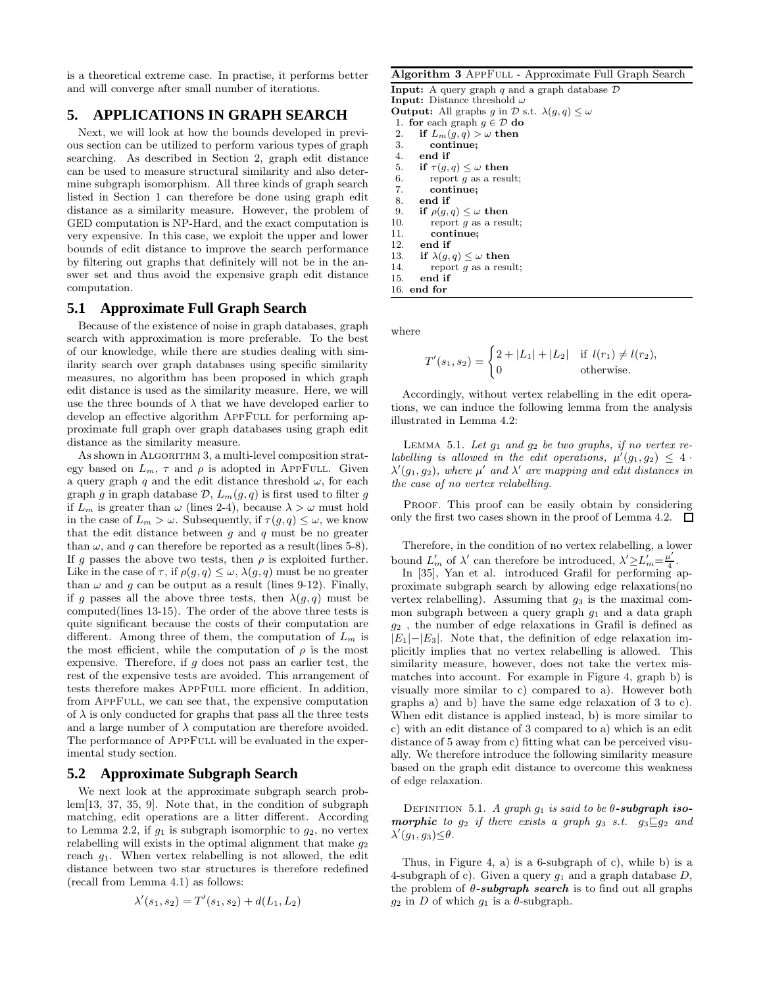is a theoretical extreme case. In practise, it performs better and will converge after small number of iterations.

# **5. APPLICATIONS IN GRAPH SEARCH**

Next, we will look at how the bounds developed in previous section can be utilized to perform various types of graph searching. As described in Section 2, graph edit distance can be used to measure structural similarity and also determine subgraph isomorphism. All three kinds of graph search listed in Section 1 can therefore be done using graph edit distance as a similarity measure. However, the problem of GED computation is NP-Hard, and the exact computation is very expensive. In this case, we exploit the upper and lower bounds of edit distance to improve the search performance by filtering out graphs that definitely will not be in the answer set and thus avoid the expensive graph edit distance computation.

# **5.1 Approximate Full Graph Search**

Because of the existence of noise in graph databases, graph search with approximation is more preferable. To the best of our knowledge, while there are studies dealing with similarity search over graph databases using specific similarity measures, no algorithm has been proposed in which graph edit distance is used as the similarity measure. Here, we will use the three bounds of  $\lambda$  that we have developed earlier to develop an effective algorithm APPFULL for performing approximate full graph over graph databases using graph edit distance as the similarity measure.

As shown in ALGORITHM 3, a multi-level composition strategy based on  $L_m$ ,  $\tau$  and  $\rho$  is adopted in APPFULL. Given a query graph q and the edit distance threshold  $\omega$ , for each graph g in graph database  $\mathcal{D}, L_m(g, q)$  is first used to filter g if  $L_m$  is greater than  $\omega$  (lines 2-4), because  $\lambda > \omega$  must hold in the case of  $L_m > \omega$ . Subsequently, if  $\tau(g,q) \leq \omega$ , we know that the edit distance between  $g$  and  $q$  must be no greater than  $\omega$ , and q can therefore be reported as a result (lines 5-8). If g passes the above two tests, then  $\rho$  is exploited further. Like in the case of  $\tau$ , if  $\rho(g,q) \leq \omega$ ,  $\lambda(g,q)$  must be no greater than  $\omega$  and q can be output as a result (lines 9-12). Finally, if q passes all the above three tests, then  $\lambda(q,q)$  must be computed(lines 13-15). The order of the above three tests is quite significant because the costs of their computation are different. Among three of them, the computation of  $L_m$  is the most efficient, while the computation of  $\rho$  is the most expensive. Therefore, if  $q$  does not pass an earlier test, the rest of the expensive tests are avoided. This arrangement of tests therefore makes AppFull more efficient. In addition, from AppFull, we can see that, the expensive computation of  $\lambda$  is only conducted for graphs that pass all the three tests and a large number of  $\lambda$  computation are therefore avoided. The performance of APPFULL will be evaluated in the experimental study section.

### **5.2 Approximate Subgraph Search**

We next look at the approximate subgraph search problem[13, 37, 35, 9]. Note that, in the condition of subgraph matching, edit operations are a litter different. According to Lemma 2.2, if  $q_1$  is subgraph isomorphic to  $q_2$ , no vertex relabelling will exists in the optimal alignment that make  $g_2$ reach g1. When vertex relabelling is not allowed, the edit distance between two star structures is therefore redefined (recall from Lemma 4.1) as follows:

$$
\lambda'(s_1, s_2) = T'(s_1, s_2) + d(L_1, L_2)
$$

#### Algorithm 3 APPFULL - Approximate Full Graph Search

**Input:** A query graph  $q$  and a graph database  $\mathcal{D}$ **Input:** Distance threshold  $\omega$ **Output:** All graphs g in  $\mathcal{D}$  s.t.  $\lambda(g,q) \leq \omega$ 1. for each graph  $g \in \mathcal{D}$  do 2. if  $L_m(g,q) > \omega$  then<br>3. continue; 3. continue; 4. end if 5. if  $\tau(g,q) \leq \omega$  then<br>6. report q as a resu 6. report  $g$  as a result;<br>7. **continue:** 7. continue; 8. end if  $9$  if  $q(a)$ if  $\rho(g,q)\leq \omega$  then 10. report  $q$  as a result; 11. continue; 12. end if 13. if  $\lambda(q,q) \leq \omega$  then 14. report  $g$  as a result; 15. end if 16. end for

where

$$
T'(s_1, s_2) = \begin{cases} 2 + |L_1| + |L_2| & \text{if } l(r_1) \neq l(r_2), \\ 0 & \text{otherwise.} \end{cases}
$$

Accordingly, without vertex relabelling in the edit operations, we can induce the following lemma from the analysis illustrated in Lemma 4.2:

LEMMA 5.1. Let  $g_1$  and  $g_2$  be two graphs, if no vertex relabelling is allowed in the edit operations,  $\mu'(g_1, g_2) \leq 4$ .  $\lambda'(g_1, g_2)$ , where  $\mu'$  and  $\lambda'$  are mapping and edit distances in the case of no vertex relabelling.

PROOF. This proof can be easily obtain by considering only the first two cases shown in the proof of Lemma 4.2.  $\Box$ 

Therefore, in the condition of no vertex relabelling, a lower bound  $L'_m$  of  $\lambda'$  can therefore be introduced,  $\lambda' \geq L'_m = \frac{\mu'}{4}$  $\frac{1}{4}$ .

In [35], Yan et al. introduced Grafil for performing approximate subgraph search by allowing edge relaxations(no vertex relabelling). Assuming that  $g_3$  is the maximal common subgraph between a query graph  $g_1$  and a data graph  $g_2$ , the number of edge relaxations in Grafil is defined as  $|E_1|$ − $|E_3|$ . Note that, the definition of edge relaxation implicitly implies that no vertex relabelling is allowed. This similarity measure, however, does not take the vertex mismatches into account. For example in Figure 4, graph b) is visually more similar to c) compared to a). However both graphs a) and b) have the same edge relaxation of 3 to c). When edit distance is applied instead, b) is more similar to c) with an edit distance of 3 compared to a) which is an edit distance of 5 away from c) fitting what can be perceived visually. We therefore introduce the following similarity measure based on the graph edit distance to overcome this weakness of edge relaxation.

DEFINITION 5.1. A graph  $g_1$  is said to be  $\theta$ -subgraph iso**morphic** to  $g_2$  if there exists a graph  $g_3$  s.t.  $g_3 \square g_2$  and  $\lambda'(g_1, g_3) \leq \theta$ .

Thus, in Figure 4, a) is a 6-subgraph of c), while b) is a 4-subgraph of c). Given a query  $g_1$  and a graph database  $D$ , the problem of  $\theta$ -subgraph search is to find out all graphs  $g_2$  in D of which  $g_1$  is a  $\theta$ -subgraph.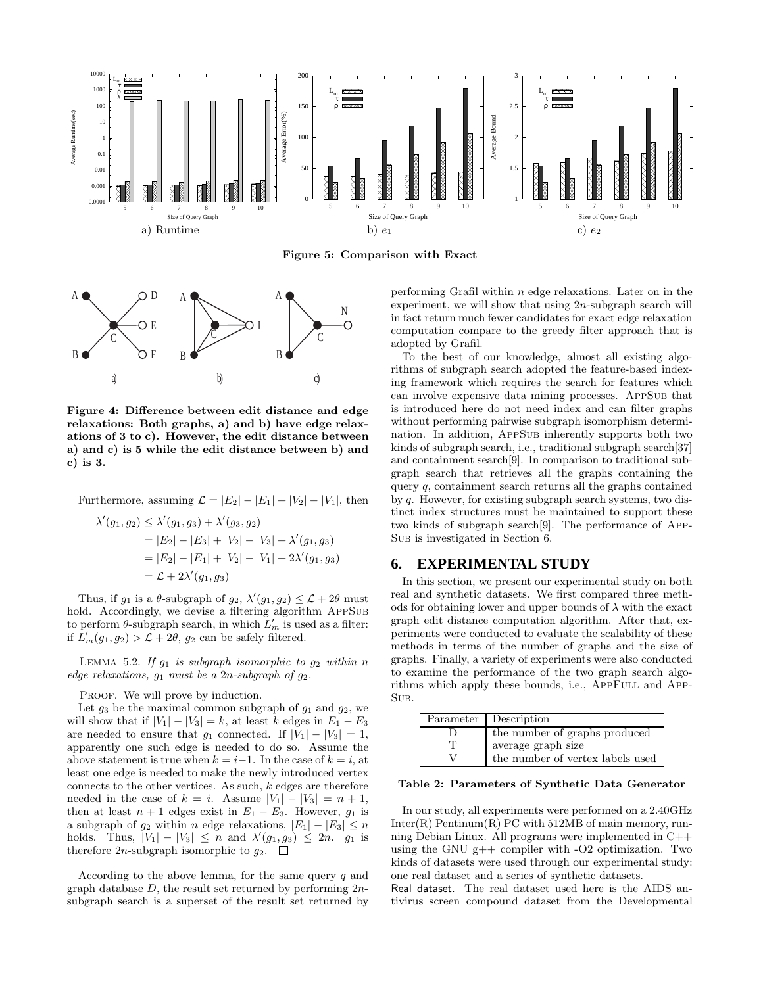

Figure 5: Comparison with Exact



Figure 4: Difference between edit distance and edge relaxations: Both graphs, a) and b) have edge relaxations of 3 to c). However, the edit distance between a) and c) is 5 while the edit distance between b) and c) is 3.

Furthermore, assuming  $\mathcal{L} = |E_2| - |E_1| + |V_2| - |V_1|$ , then

$$
\lambda'(g_1, g_2) \le \lambda'(g_1, g_3) + \lambda'(g_3, g_2)
$$
  
=  $|E_2| - |E_3| + |V_2| - |V_3| + \lambda'(g_1, g_3)$   
=  $|E_2| - |E_1| + |V_2| - |V_1| + 2\lambda'(g_1, g_3)$   
=  $\mathcal{L} + 2\lambda'(g_1, g_3)$ 

Thus, if  $g_1$  is a  $\theta$ -subgraph of  $g_2$ ,  $\lambda'(g_1, g_2) \leq \mathcal{L} + 2\theta$  must hold. Accordingly, we devise a filtering algorithm APPSUB to perform  $\theta$ -subgraph search, in which  $L'_m$  is used as a filter: if  $L'_m(g_1, g_2) > \mathcal{L} + 2\theta$ ,  $g_2$  can be safely filtered.

LEMMA 5.2. If  $g_1$  is subgraph isomorphic to  $g_2$  within n edge relaxations,  $g_1$  must be a  $2n$ -subgraph of  $g_2$ .

#### PROOF. We will prove by induction.

Let  $g_3$  be the maximal common subgraph of  $g_1$  and  $g_2$ , we will show that if  $|V_1| - |V_3| = k$ , at least k edges in  $E_1 - E_3$ are needed to ensure that  $g_1$  connected. If  $|V_1| - |V_3| = 1$ , apparently one such edge is needed to do so. Assume the above statement is true when  $k = i-1$ . In the case of  $k = i$ , at least one edge is needed to make the newly introduced vertex connects to the other vertices. As such,  $k$  edges are therefore needed in the case of  $k = i$ . Assume  $|V_1| - |V_3| = n + 1$ , then at least  $n + 1$  edges exist in  $E_1 - E_3$ . However,  $g_1$  is a subgraph of  $g_2$  within n edge relaxations,  $|E_1| - |E_3| \leq n$ holds. Thus,  $|V_1| - |V_3| \leq n$  and  $\lambda'(g_1, g_3) \leq 2n$ .  $g_1$  is therefore 2n-subgraph isomorphic to  $q_2$ .  $\Box$ 

According to the above lemma, for the same query  $q$  and graph database  $D$ , the result set returned by performing  $2n$ subgraph search is a superset of the result set returned by performing Grafil within  $n$  edge relaxations. Later on in the experiment, we will show that using  $2n$ -subgraph search will in fact return much fewer candidates for exact edge relaxation computation compare to the greedy filter approach that is adopted by Grafil.

To the best of our knowledge, almost all existing algorithms of subgraph search adopted the feature-based indexing framework which requires the search for features which can involve expensive data mining processes. AppSub that is introduced here do not need index and can filter graphs without performing pairwise subgraph isomorphism determination. In addition, APPSUB inherently supports both two kinds of subgraph search, i.e., traditional subgraph search[37] and containment search[9]. In comparison to traditional subgraph search that retrieves all the graphs containing the query q, containment search returns all the graphs contained by q. However, for existing subgraph search systems, two distinct index structures must be maintained to support these two kinds of subgraph search[9]. The performance of App-Sub is investigated in Section 6.

## **6. EXPERIMENTAL STUDY**

In this section, we present our experimental study on both real and synthetic datasets. We first compared three methods for obtaining lower and upper bounds of  $\lambda$  with the exact graph edit distance computation algorithm. After that, experiments were conducted to evaluate the scalability of these methods in terms of the number of graphs and the size of graphs. Finally, a variety of experiments were also conducted to examine the performance of the two graph search algorithms which apply these bounds, i.e., APPFULL and APP-Sub.

| Parameter | Description                      |
|-----------|----------------------------------|
|           | the number of graphs produced    |
|           | average graph size               |
|           | the number of vertex labels used |

#### Table 2: Parameters of Synthetic Data Generator

In our study, all experiments were performed on a 2.40GHz Inter(R) Pentinum(R) PC with 512MB of main memory, running Debian Linux. All programs were implemented in C++ using the GNU  $g++$  compiler with  $-O2$  optimization. Two kinds of datasets were used through our experimental study: one real dataset and a series of synthetic datasets.

Real dataset. The real dataset used here is the AIDS antivirus screen compound dataset from the Developmental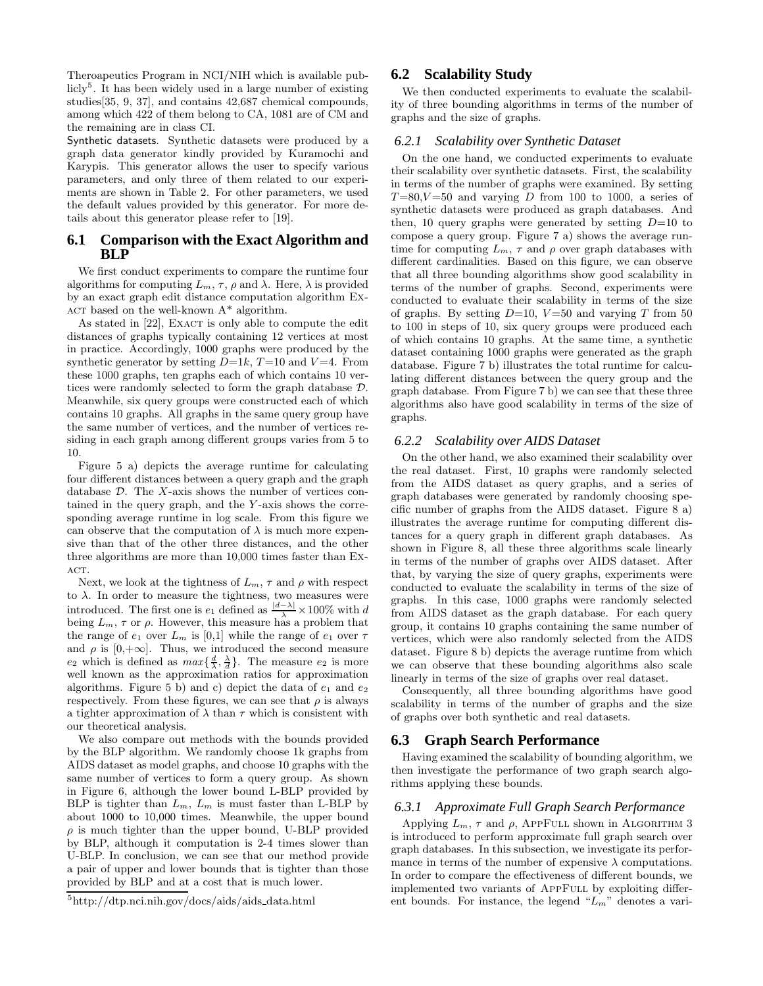Theroapeutics Program in NCI/NIH which is available publicly<sup>5</sup>. It has been widely used in a large number of existing studies[35, 9, 37], and contains 42,687 chemical compounds, among which 422 of them belong to CA, 1081 are of CM and the remaining are in class CI.

Synthetic datasets. Synthetic datasets were produced by a graph data generator kindly provided by Kuramochi and Karypis. This generator allows the user to specify various parameters, and only three of them related to our experiments are shown in Table 2. For other parameters, we used the default values provided by this generator. For more details about this generator please refer to [19].

# **6.1 Comparison with the Exact Algorithm and BLP**

We first conduct experiments to compare the runtime four algorithms for computing  $L_m$ ,  $\tau$ ,  $\rho$  and  $\lambda$ . Here,  $\lambda$  is provided by an exact graph edit distance computation algorithm Ex-ACT based on the well-known  $A^*$  algorithm.

As stated in [22], EXACT is only able to compute the edit distances of graphs typically containing 12 vertices at most in practice. Accordingly, 1000 graphs were produced by the synthetic generator by setting  $D=1k$ ,  $T=10$  and  $V=4$ . From these 1000 graphs, ten graphs each of which contains 10 vertices were randomly selected to form the graph database D. Meanwhile, six query groups were constructed each of which contains 10 graphs. All graphs in the same query group have the same number of vertices, and the number of vertices residing in each graph among different groups varies from 5 to 10.

Figure 5 a) depicts the average runtime for calculating four different distances between a query graph and the graph database  $D$ . The  $X$ -axis shows the number of vertices contained in the query graph, and the  $Y$ -axis shows the corresponding average runtime in log scale. From this figure we can observe that the computation of  $\lambda$  is much more expensive than that of the other three distances, and the other three algorithms are more than 10,000 times faster than Ex-ACT.

Next, we look at the tightness of  $L_m$ ,  $\tau$  and  $\rho$  with respect to  $\lambda$ . In order to measure the tightness, two measures were introduced. The first one is  $e_1$  defined as  $\frac{|d-\lambda|}{\lambda} \times 100\%$  with d being  $L_m$ ,  $\tau$  or  $\rho$ . However, this measure has a problem that the range of  $e_1$  over  $L_m$  is [0,1] while the range of  $e_1$  over  $\tau$ and  $\rho$  is [0,+ $\infty$ ]. Thus, we introduced the second measure  $e_2$  which is defined as  $max\{\frac{d}{\lambda},\frac{\lambda}{d}\}.$  The measure  $e_2$  is more well known as the approximation ratios for approximation algorithms. Figure 5 b) and c) depict the data of  $e_1$  and  $e_2$ respectively. From these figures, we can see that  $\rho$  is always a tighter approximation of  $\lambda$  than  $\tau$  which is consistent with our theoretical analysis.

We also compare out methods with the bounds provided by the BLP algorithm. We randomly choose 1k graphs from AIDS dataset as model graphs, and choose 10 graphs with the same number of vertices to form a query group. As shown in Figure 6, although the lower bound L-BLP provided by BLP is tighter than  $L_m$ ,  $L_m$  is must faster than L-BLP by about 1000 to 10,000 times. Meanwhile, the upper bound  $\rho$  is much tighter than the upper bound, U-BLP provided by BLP, although it computation is 2-4 times slower than U-BLP. In conclusion, we can see that our method provide a pair of upper and lower bounds that is tighter than those provided by BLP and at a cost that is much lower.

# **6.2 Scalability Study**

We then conducted experiments to evaluate the scalability of three bounding algorithms in terms of the number of graphs and the size of graphs.

### *6.2.1 Scalability over Synthetic Dataset*

On the one hand, we conducted experiments to evaluate their scalability over synthetic datasets. First, the scalability in terms of the number of graphs were examined. By setting  $T=80, V=50$  and varying D from 100 to 1000, a series of synthetic datasets were produced as graph databases. And then, 10 query graphs were generated by setting  $D=10$  to compose a query group. Figure 7 a) shows the average runtime for computing  $L_m$ ,  $\tau$  and  $\rho$  over graph databases with different cardinalities. Based on this figure, we can observe that all three bounding algorithms show good scalability in terms of the number of graphs. Second, experiments were conducted to evaluate their scalability in terms of the size of graphs. By setting  $D=10$ ,  $V=50$  and varying T from 50 to 100 in steps of 10, six query groups were produced each of which contains 10 graphs. At the same time, a synthetic dataset containing 1000 graphs were generated as the graph database. Figure 7 b) illustrates the total runtime for calculating different distances between the query group and the graph database. From Figure 7 b) we can see that these three algorithms also have good scalability in terms of the size of graphs.

### *6.2.2 Scalability over AIDS Dataset*

On the other hand, we also examined their scalability over the real dataset. First, 10 graphs were randomly selected from the AIDS dataset as query graphs, and a series of graph databases were generated by randomly choosing specific number of graphs from the AIDS dataset. Figure 8 a) illustrates the average runtime for computing different distances for a query graph in different graph databases. As shown in Figure 8, all these three algorithms scale linearly in terms of the number of graphs over AIDS dataset. After that, by varying the size of query graphs, experiments were conducted to evaluate the scalability in terms of the size of graphs. In this case, 1000 graphs were randomly selected from AIDS dataset as the graph database. For each query group, it contains 10 graphs containing the same number of vertices, which were also randomly selected from the AIDS dataset. Figure 8 b) depicts the average runtime from which we can observe that these bounding algorithms also scale linearly in terms of the size of graphs over real dataset.

Consequently, all three bounding algorithms have good scalability in terms of the number of graphs and the size of graphs over both synthetic and real datasets.

### **6.3 Graph Search Performance**

Having examined the scalability of bounding algorithm, we then investigate the performance of two graph search algorithms applying these bounds.

### *6.3.1 Approximate Full Graph Search Performance*

Applying  $L_m$ ,  $\tau$  and  $\rho$ , APPFULL shown in ALGORITHM 3 is introduced to perform approximate full graph search over graph databases. In this subsection, we investigate its performance in terms of the number of expensive  $\lambda$  computations. In order to compare the effectiveness of different bounds, we implemented two variants of APPFULL by exploiting different bounds. For instance, the legend  $'L_m$ " denotes a vari-

<sup>5</sup>http://dtp.nci.nih.gov/docs/aids/aids data.html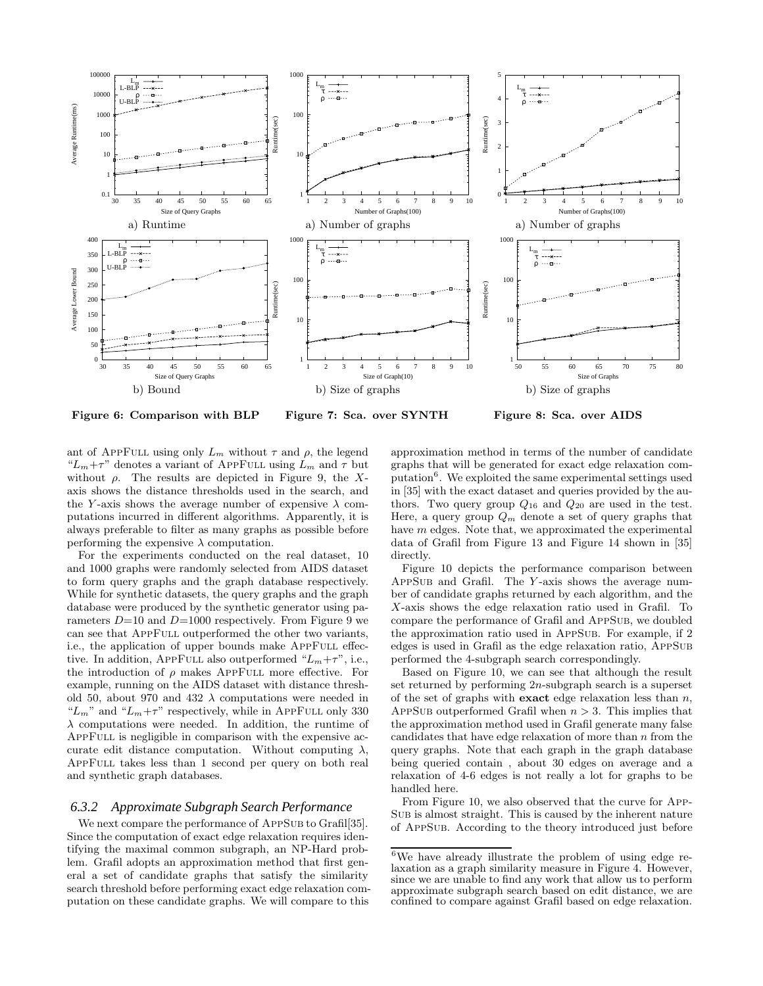

Figure 6: Comparison with BLP

Figure 7: Sca. over SYNTH

Figure 8: Sca. over AIDS

ant of APPFULL using only  $L_m$  without  $\tau$  and  $\rho$ , the legend " $L_m+\tau$ " denotes a variant of APPFULL using  $L_m$  and  $\tau$  but without  $\rho$ . The results are depicted in Figure 9, the Xaxis shows the distance thresholds used in the search, and the Y-axis shows the average number of expensive  $\lambda$  computations incurred in different algorithms. Apparently, it is always preferable to filter as many graphs as possible before performing the expensive  $\lambda$  computation.

For the experiments conducted on the real dataset, 10 and 1000 graphs were randomly selected from AIDS dataset to form query graphs and the graph database respectively. While for synthetic datasets, the query graphs and the graph database were produced by the synthetic generator using parameters  $D=10$  and  $D=1000$  respectively. From Figure 9 we can see that AppFull outperformed the other two variants, i.e., the application of upper bounds make APPFULL effective. In addition, APPFULL also outperformed " $L_m+\tau$ ", i.e., the introduction of  $\rho$  makes APPFULL more effective. For example, running on the AIDS dataset with distance threshold 50, about 970 and 432  $\lambda$  computations were needed in " $L_m$ " and " $L_m+\tau$ " respectively, while in APPFULL only 330"  $\lambda$  computations were needed. In addition, the runtime of AppFull is negligible in comparison with the expensive accurate edit distance computation. Without computing  $\lambda$ , AppFull takes less than 1 second per query on both real and synthetic graph databases.

### *6.3.2 Approximate Subgraph Search Performance*

We next compare the performance of APPSuB to Grafil<sup>[35]</sup>. Since the computation of exact edge relaxation requires identifying the maximal common subgraph, an NP-Hard problem. Grafil adopts an approximation method that first general a set of candidate graphs that satisfy the similarity search threshold before performing exact edge relaxation computation on these candidate graphs. We will compare to this

approximation method in terms of the number of candidate graphs that will be generated for exact edge relaxation computation<sup>6</sup>. We exploited the same experimental settings used in [35] with the exact dataset and queries provided by the authors. Two query group  $Q_{16}$  and  $Q_{20}$  are used in the test. Here, a query group  $Q_m$  denote a set of query graphs that have m edges. Note that, we approximated the experimental data of Grafil from Figure 13 and Figure 14 shown in [35] directly.

Figure 10 depicts the performance comparison between AppSub and Grafil. The Y -axis shows the average number of candidate graphs returned by each algorithm, and the X-axis shows the edge relaxation ratio used in Grafil. To compare the performance of Grafil and APPSUB, we doubled the approximation ratio used in AppSub. For example, if 2 edges is used in Grafil as the edge relaxation ratio, AppSub performed the 4-subgraph search correspondingly.

Based on Figure 10, we can see that although the result set returned by performing 2n-subgraph search is a superset of the set of graphs with **exact** edge relaxation less than  $n$ , APPSUB outperformed Grafil when  $n > 3$ . This implies that the approximation method used in Grafil generate many false candidates that have edge relaxation of more than  $n$  from the query graphs. Note that each graph in the graph database being queried contain , about 30 edges on average and a relaxation of 4-6 edges is not really a lot for graphs to be handled here.

From Figure 10, we also observed that the curve for App-Sub is almost straight. This is caused by the inherent nature of AppSub. According to the theory introduced just before

<sup>6</sup>We have already illustrate the problem of using edge relaxation as a graph similarity measure in Figure 4. However, since we are unable to find any work that allow us to perform approximate subgraph search based on edit distance, we are confined to compare against Grafil based on edge relaxation.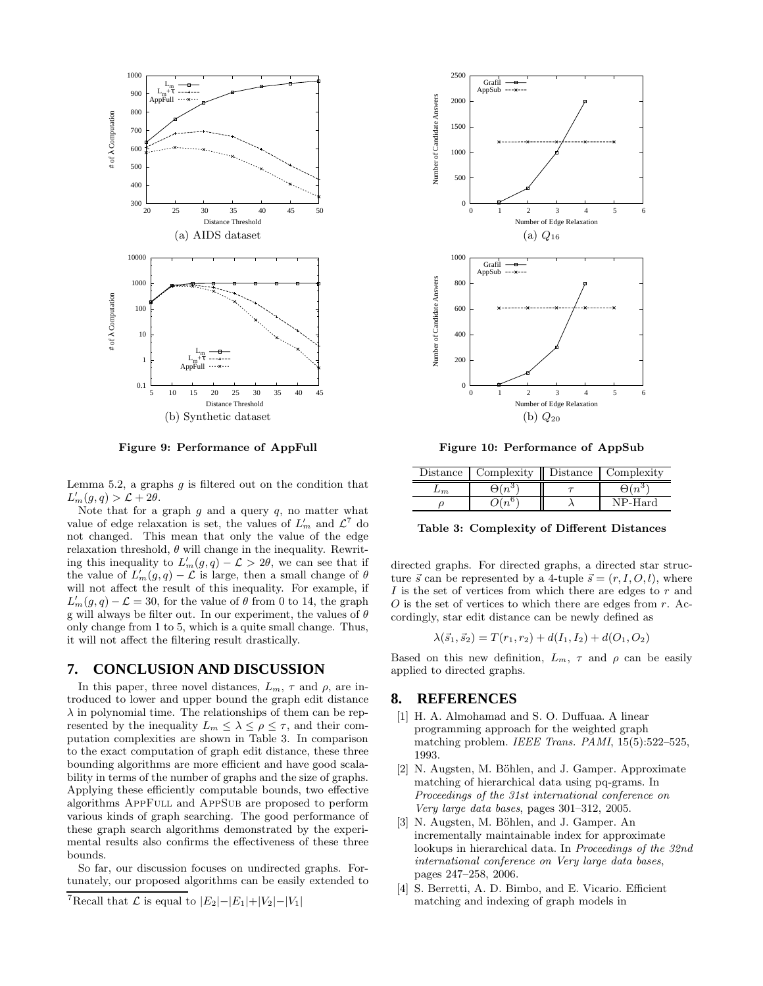

Figure 9: Performance of AppFull

Lemma 5.2, a graphs  $g$  is filtered out on the condition that  $L'_m(g,q) > \mathcal{L} + 2\theta.$ 

Note that for a graph  $g$  and a query  $q$ , no matter what value of edge relaxation is set, the values of  $L'_m$  and  $\mathcal{L}^7$  do not changed. This mean that only the value of the edge relaxation threshold,  $\theta$  will change in the inequality. Rewriting this inequality to  $L'_m(g,q) - \mathcal{L} > 2\theta$ , we can see that if the value of  $L'_m(g,q) - \mathcal{L}$  is large, then a small change of  $\theta$ will not affect the result of this inequality. For example, if  $L'_m(g,q) - \mathcal{L} = 30$ , for the value of  $\theta$  from 0 to 14, the graph g will always be filter out. In our experiment, the values of  $\theta$ only change from 1 to 5, which is a quite small change. Thus, it will not affect the filtering result drastically.

## **7. CONCLUSION AND DISCUSSION**

In this paper, three novel distances,  $L_m$ ,  $\tau$  and  $\rho$ , are introduced to lower and upper bound the graph edit distance  $\lambda$  in polynomial time. The relationships of them can be represented by the inequality  $L_m \leq \lambda \leq \rho \leq \tau$ , and their computation complexities are shown in Table 3. In comparison to the exact computation of graph edit distance, these three bounding algorithms are more efficient and have good scalability in terms of the number of graphs and the size of graphs. Applying these efficiently computable bounds, two effective algorithms AppFull and AppSub are proposed to perform various kinds of graph searching. The good performance of these graph search algorithms demonstrated by the experimental results also confirms the effectiveness of these three bounds.

So far, our discussion focuses on undirected graphs. Fortunately, our proposed algorithms can be easily extended to



Figure 10: Performance of AppSub

| Distance        | Complexity Distance Complexity |               |
|-----------------|--------------------------------|---------------|
| $\rightarrow$ m | $\Theta(n^3)$                  | $\Theta(n^3)$ |
|                 |                                | NP-Hard       |

Table 3: Complexity of Different Distances

directed graphs. For directed graphs, a directed star structure  $\vec{s}$  can be represented by a 4-tuple  $\vec{s} = (r, I, O, l)$ , where I is the set of vertices from which there are edges to r and  $O$  is the set of vertices to which there are edges from  $r$ . Accordingly, star edit distance can be newly defined as

$$
\lambda(\vec{s}_1, \vec{s}_2) = T(r_1, r_2) + d(I_1, I_2) + d(O_1, O_2)
$$

Based on this new definition,  $L_m$ ,  $\tau$  and  $\rho$  can be easily applied to directed graphs.

## **8. REFERENCES**

- [1] H. A. Almohamad and S. O. Duffuaa. A linear programming approach for the weighted graph matching problem. IEEE Trans. PAMI, 15(5):522-525, 1993.
- [2] N. Augsten, M. Böhlen, and J. Gamper. Approximate matching of hierarchical data using pq-grams. In Proceedings of the 31st international conference on Very large data bases, pages 301–312, 2005.
- [3] N. Augsten, M. Böhlen, and J. Gamper. An incrementally maintainable index for approximate lookups in hierarchical data. In Proceedings of the 32nd international conference on Very large data bases, pages 247–258, 2006.
- [4] S. Berretti, A. D. Bimbo, and E. Vicario. Efficient matching and indexing of graph models in

<sup>&</sup>lt;sup>7</sup>Recall that  $\mathcal L$  is equal to  $|E_2|-|E_1|+|V_2|-|V_1|$